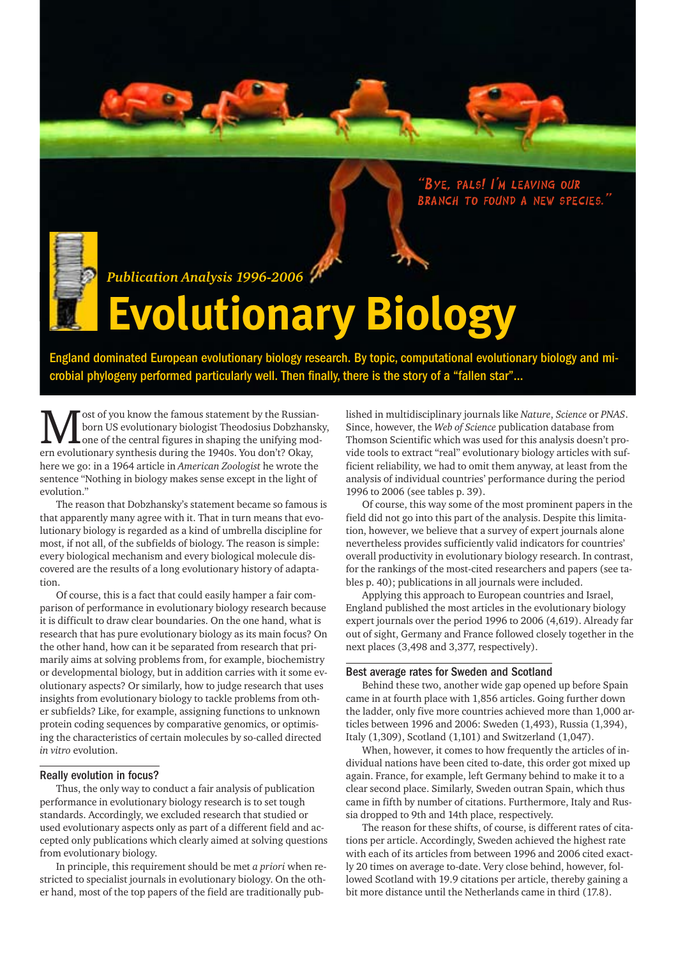"Bye, pals! I'm leaving our BRANCH TO FOUND A NEW SPECIES.

# Publication Analysis 1996-2006<sup>//</sup><br> **EVOLUTIONAIV BIOLOSV**

minated European evolutionary biology research. By topic, computational evolution<br>
ogeny performed particularly well. Then finally there is the story of a "fallen star" England dominated European evolutionary biology research. By topic, computational evolutionary biology and microbial phylogeny performed particularly well. Then finally, there is the story of a "fallen star"...

ost of you know the famous statement by the Russianborn US evolutionary biologist Theodosius Dobzhansky, one of the central figures in shaping the unifying modern evolutionary synthesis during the 1940s. You don't? Okay, here we go: in a 1964 article in *American Zoologist* he wrote the sentence "Nothing in biology makes sense except in the light of evolution."

The reason that Dobzhansky's statement became so famous is that apparently many agree with it. That in turn means that evolutionary biology is regarded as a kind of umbrella discipline for most, if not all, of the subfields of biology. The reason is simple: every biological mechanism and every biological molecule discovered are the results of a long evolutionary history of adaptation.

Of course, this is a fact that could easily hamper a fair comparison of performance in evolutionary biology research because it is difficult to draw clear boundaries. On the one hand, what is research that has pure evolutionary biology as its main focus? On the other hand, how can it be separated from research that primarily aims at solving problems from, for example, biochemistry or developmental biology, but in addition carries with it some evolutionary aspects? Or similarly, how to judge research that uses insights from evolutionary biology to tackle problems from other subfields? Like, for example, assigning functions to unknown protein coding sequences by comparative genomics, or optimising the characteristics of certain molecules by so-called directed *in vitro* evolution.

#### Really evolution in focus?

Thus, the only way to conduct a fair analysis of publication performance in evolutionary biology research is to set tough standards. Accordingly, we excluded research that studied or used evolutionary aspects only as part of a different field and accepted only publications which clearly aimed at solving questions from evolutionary biology.

In principle, this requirement should be met *a priori* when restricted to specialist journals in evolutionary biology. On the other hand, most of the top papers of the field are traditionally pub-

lished in multidisciplinary journals like *Nature*, *Science* or *PNAS*. Since, however, the *Web of Science* publication database from Thomson Scientific which was used for this analysis doesn't provide tools to extract "real" evolutionary biology articles with sufficient reliability, we had to omit them anyway, at least from the analysis of individual countries' performance during the period 1996 to 2006 (see tables p. 39).

Of course, this way some of the most prominent papers in the field did not go into this part of the analysis. Despite this limitation, however, we believe that a survey of expert journals alone nevertheless provides sufficiently valid indicators for countries' overall productivity in evolutionary biology research. In contrast, for the rankings of the most-cited researchers and papers (see tables p. 40); publications in all journals were included.

Applying this approach to European countries and Israel, England published the most articles in the evolutionary biology expert journals over the period 1996 to 2006 (4,619). Already far out of sight, Germany and France followed closely together in the next places (3,498 and 3,377, respectively).

#### Best average rates for Sweden and Scotland

Behind these two, another wide gap opened up before Spain came in at fourth place with 1,856 articles. Going further down the ladder, only five more countries achieved more than 1,000 articles between 1996 and 2006: Sweden (1,493), Russia (1,394), Italy (1,309), Scotland (1,101) and Switzerland (1,047).

When, however, it comes to how frequently the articles of individual nations have been cited to-date, this order got mixed up again. France, for example, left Germany behind to make it to a clear second place. Similarly, Sweden outran Spain, which thus came in fifth by number of citations. Furthermore, Italy and Russia dropped to 9th and 14th place, respectively.

The reason for these shifts, of course, is different rates of citations per article. Accordingly, Sweden achieved the highest rate with each of its articles from between 1996 and 2006 cited exactly 20 times on average to-date. Very close behind, however, followed Scotland with 19.9 citations per article, thereby gaining a bit more distance until the Netherlands came in third (17.8).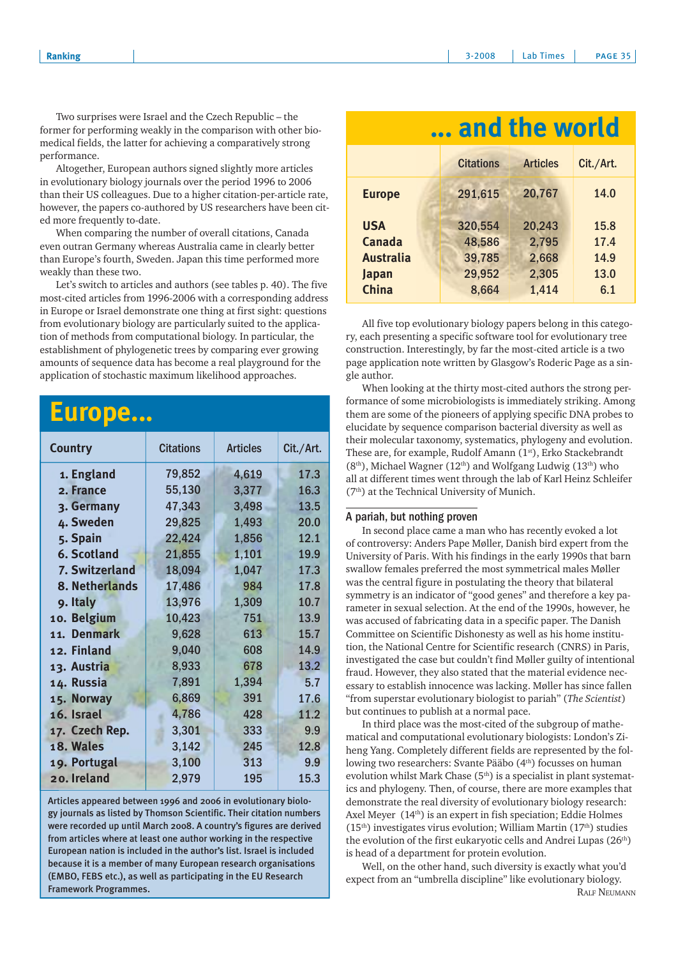Two surprises were Israel and the Czech Republic – the<br>former for performing weakly in the comparison with other bio-<br>medical fields, the latter for estimine a comparison with other biomedical fields, the latter for achieving a comparatively strong performance.

Altogether, European authors signed slightly more articles in evolutionary biology journals over the period 1996 to 2006 than their US colleagues. Due to a higher citation-per-article rate, however, the papers co-authored by US researchers have been cited more frequently to-date.

When comparing the number of overall citations, Canada even outran Germany whereas Australia came in clearly better than Europe's fourth, Sweden. Japan this time performed more weakly than these two.

Let's switch to articles and authors (see tables p. 40). The five most-cited articles from 1996-2006 with a corresponding address in Europe or Israel demonstrate one thing at first sight: questions from evolutionary biology are particularly suited to the application of methods from computational biology. In particular, the establishment of phylogenetic trees by comparing ever growing amounts of sequence data has become a real playground for the application of stochastic maximum likelihood approaches.

## **Europe...**

| <b>Country</b>     | <b>Citations</b> | <b>Articles</b> | Cit./Art. |
|--------------------|------------------|-----------------|-----------|
| 1. England         | 79,852           | 4,619           | 17.3      |
| 2. France          | 55,130           | 3,377           | 16.3      |
| 3. Germany         | 47,343           | 3,498           | 13.5      |
| 4. Sweden          | 29,825           | 1,493           | 20.0      |
| 5. Spain           | 22,424           | 1,856           | 12.1      |
| <b>6. Scotland</b> | 21,855           | 1,101           | 19.9      |
| 7. Switzerland     | 18,094           | 1,047           | 17.3      |
| 8. Netherlands     | 17,486           | 984             | 17.8      |
| 9. Italy           | 13,976           | 1,309           | 10.7      |
| 10. Belgium        | 10,423           | 751             | 13.9      |
| 11. Denmark        | 9,628            | 613             | 15.7      |
| 12. Finland        | 9,040            | 608             | 14.9      |
| 13. Austria        | 8,933            | 678             | 13.2      |
| 14. Russia         | 7,891            | 1,394           | 5.7       |
| 15. Norway         | 6,869            | 391             | 17.6      |
| 16. Israel         | 4,786            | 428             | 11.2      |
| 17. Czech Rep.     | 3,301            | 333             | 9.9       |
| 18. Wales          | 3,142            | 245             | 12.8      |
| 19. Portugal       | 3,100            | 313             | 9.9       |
| 20. Ireland        | 2,979            | 195             | 15.3      |

Articles appeared between 1996 and 2006 in evolutionary biology journals as listed by Thomson Scientific. Their citation numbers were recorded up until March 2008. A country's figures are derived from articles where at least one author working in the respective European nation is included in the author's list. Israel is included because it is a member of many European research organisations (EMBO, FEBS etc.), as well as participating in the EU Research Framework Programmes.

| and the world                            |                                       |                          |                      |  |
|------------------------------------------|---------------------------------------|--------------------------|----------------------|--|
|                                          | <b>Citations</b>                      | <b>Articles</b>          | Cit./Art.            |  |
| <b>Europe</b>                            | 291,615                               | 20,767                   | 14.0                 |  |
| <b>USA</b><br>Canada<br><b>Australia</b> | 320,554<br>48,586<br>39,785<br>29,952 | 20,243<br>2,795<br>2,668 | 15.8<br>17.4<br>14.9 |  |
| Japan<br><b>China</b>                    | 8,664                                 | 2,305<br>1,414           | 13.0<br>6.1          |  |

All five top evolutionary biology papers belong in this category, each presenting a specific software tool for evolutionary tree construction. Interestingly, by far the most-cited article is a two page application note written by Glasgow's Roderic Page as a single author.

When looking at the thirty most-cited authors the strong performance of some microbiologists is immediately striking. Among them are some of the pioneers of applying specific DNA probes to elucidate by sequence comparison bacterial diversity as well as their molecular taxonomy, systematics, phylogeny and evolution. These are, for example, Rudolf Amann (1st), Erko Stackebrandt (8<sup>th</sup>), Michael Wagner (12<sup>th</sup>) and Wolfgang Ludwig (13<sup>th</sup>) who all at different times went through the lab of Karl Heinz Schleifer (7th) at the Technical University of Munich.

#### A pariah, but nothing proven

In second place came a man who has recently evoked a lot of controversy: Anders Pape Møller, Danish bird expert from the University of Paris. With his findings in the early 1990s that barn swallow females preferred the most symmetrical males Møller was the central figure in postulating the theory that bilateral symmetry is an indicator of "good genes" and therefore a key parameter in sexual selection. At the end of the 1990s, however, he was accused of fabricating data in a specific paper. The Danish Committee on Scientific Dishonesty as well as his home institution, the National Centre for Scientific research (CNRS) in Paris, investigated the case but couldn't find Møller guilty of intentional fraud. However, they also stated that the material evidence necessary to establish innocence was lacking. Møller has since fallen "from superstar evolutionary biologist to pariah" (*The Scientist*) but continues to publish at a normal pace.

In third place was the most-cited of the subgroup of mathematical and computational evolutionary biologists: London's Ziheng Yang. Completely different fields are represented by the following two researchers: Svante Pääbo (4<sup>th</sup>) focusses on human evolution whilst Mark Chase (5<sup>th</sup>) is a specialist in plant systematics and phylogeny. Then, of course, there are more examples that demonstrate the real diversity of evolutionary biology research: Axel Meyer (14<sup>th</sup>) is an expert in fish speciation; Eddie Holmes  $(15<sup>th</sup>)$  investigates virus evolution; William Martin  $(17<sup>th</sup>)$  studies the evolution of the first eukaryotic cells and Andrei Lupas (26<sup>th</sup>) is head of a department for protein evolution.

Well, on the other hand, such diversity is exactly what you'd expect from an "umbrella discipline" like evolutionary biology. RALF NEUMANN